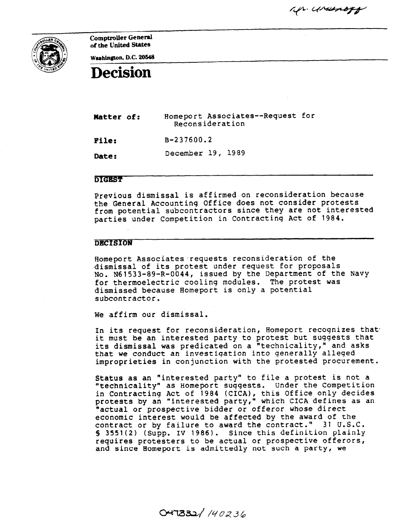Mr. Ursenogy



Comptroller General of the United States

Washington, D.C. 20548

## Decision

Hatter of: Homeport Associates--Request for Reconsideration

File: B-237600.2

**Date:** December 19, 1989

## **DIGEST**

Previous dismissal is affirmed on reconsideration because the General Accountinq Office does not consider protests from potential subcontractors since they are not interested parties under Competition in Contractinq Act of 1984.

## **DECISION**

Homeport Associates requests reconsideration of the dismissal of its protest under request for proposals No. N61533-89-R-0044, issued by the Department of the Navy for thermoelectric coolinq modules. The protest was dismissed because Homeport is only a potential subcontractor.

We affirm our dismissal.

In its request for reconsideration, Homeport recoqnizes that it must be an interested party to protest but suqqests that its dismissal was predicated on a "technicality," and asks that we conduct an investiqation into qenerally alleqed improprieties in conjunction with the protested procurement.

Status as an "interested party" to file a protest is not a "technicality" as Homeport suqqests. Under the Competition in Contracting Act of 1984 (CICA), this Office only decide protests by an 'interested party," which CICA defines as an "actual or prospective bidder or offeror whose direct economic interest would be affected by the award of the contract or by failure to award the contract." 31 U.S.C. § 3551(2) (Supp. IV 1986). Since this definition plainly requires protesters to be actual or prospective offerors, and since Homeport is admittedly not such a party, we

 $O47332/140236$